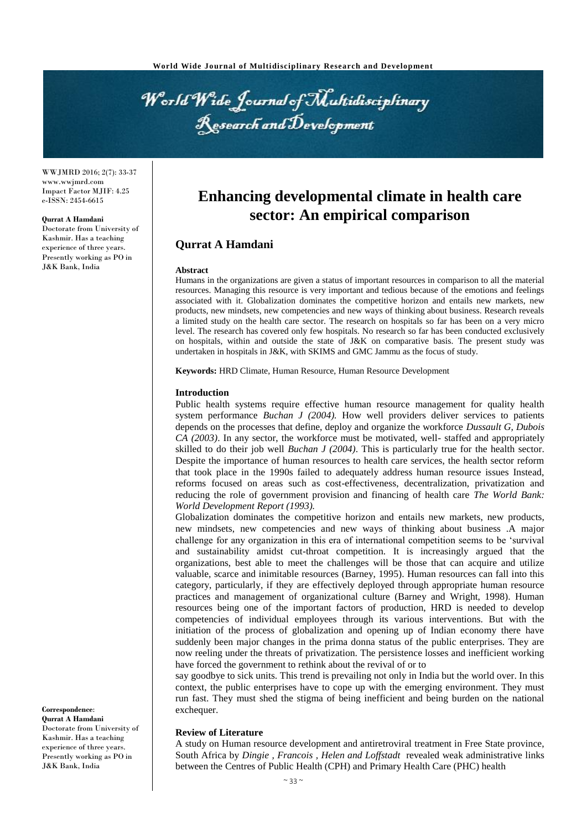World Wide Journal of Multidisciplinary Research and Development

WWJMRD 2016; 2(7): 33-37 www.wwjmrd.com Impact Factor MJIF: 4.25 e-ISSN: 2454-6615

#### **Qurrat A Hamdani**

Doctorate from University of Kashmir. Has a teaching experience of three years. Presently working as PO in J&K Bank, India

# **Enhancing developmental climate in health care sector: An empirical comparison**

## **Qurrat A Hamdani**

#### **Abstract**

Humans in the organizations are given a status of important resources in comparison to all the material resources. Managing this resource is very important and tedious because of the emotions and feelings associated with it. Globalization dominates the competitive horizon and entails new markets, new products, new mindsets, new competencies and new ways of thinking about business. Research reveals a limited study on the health care sector. The research on hospitals so far has been on a very micro level. The research has covered only few hospitals. No research so far has been conducted exclusively on hospitals, within and outside the state of J&K on comparative basis. The present study was undertaken in hospitals in J&K, with SKIMS and GMC Jammu as the focus of study.

**Keywords:** HRD Climate, Human Resource, Human Resource Development

#### **Introduction**

Public health systems require effective human resource management for quality health system performance *Buchan J (2004).* How well providers deliver services to patients depends on the processes that define, deploy and organize the workforce *Dussault G, Dubois CA (2003)*. In any sector, the workforce must be motivated, well- staffed and appropriately skilled to do their job well *Buchan J (2004)*. This is particularly true for the health sector. Despite the importance of human resources to health care services, the health sector reform that took place in the 1990s failed to adequately address human resource issues Instead, reforms focused on areas such as cost-effectiveness, decentralization, privatization and reducing the role of government provision and financing of health care *The World Bank: World Development Report (1993).*

Globalization dominates the competitive horizon and entails new markets, new products, new mindsets, new competencies and new ways of thinking about business .A major challenge for any organization in this era of international competition seems to be 'survival and sustainability amidst cut-throat competition. It is increasingly argued that the organizations, best able to meet the challenges will be those that can acquire and utilize valuable, scarce and inimitable resources (Barney, 1995). Human resources can fall into this category, particularly, if they are effectively deployed through appropriate human resource practices and management of organizational culture (Barney and Wright, 1998). Human resources being one of the important factors of production, HRD is needed to develop competencies of individual employees through its various interventions. But with the initiation of the process of globalization and opening up of Indian economy there have suddenly been major changes in the prima donna status of the public enterprises. They are now reeling under the threats of privatization. The persistence losses and inefficient working have forced the government to rethink about the revival of or to

say goodbye to sick units. This trend is prevailing not only in India but the world over. In this context, the public enterprises have to cope up with the emerging environment. They must run fast. They must shed the stigma of being inefficient and being burden on the national exchequer.

#### **Review of Literature**

A study on Human resource development and antiretroviral treatment in Free State province, South Africa by *Dingie , Francois , Helen and Loffstadt* revealed weak administrative links between the Centres of Public Health (CPH) and Primary Health Care (PHC) health

**Correspondence**: **Qurrat A Hamdani** Doctorate from University of Kashmir. Has a teaching experience of three years. Presently working as PO in

J&K Bank, India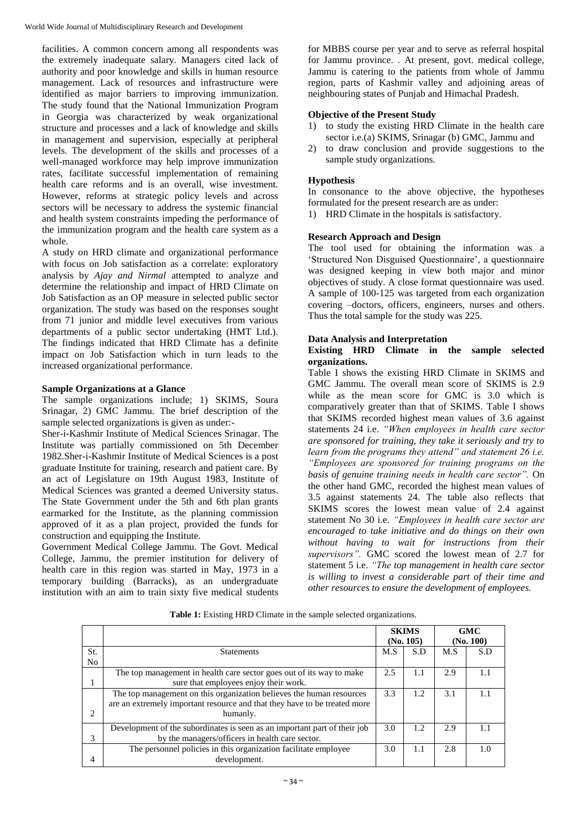facilities. A common concern among all respondents was the extremely inadequate salary. Managers cited lack of authority and poor knowledge and skills in human resource management. Lack of resources and infrastructure were identified as major barriers to improving immunization. The study found that the National Immunization Program in Georgia was characterized by weak organizational structure and processes and a lack of knowledge and skills in management and supervision, especially at peripheral levels. The development of the skills and processes of a well-managed workforce may help improve immunization rates, facilitate successful implementation of remaining health care reforms and is an overall, wise investment. However, reforms at strategic policy levels and across sectors will be necessary to address the systemic financial and health system constraints impeding the performance of the immunization program and the health care system as a whole.

A study on HRD climate and organizational performance with focus on Job satisfaction as a correlate: exploratory analysis by *Ajay and Nirmal* attempted to analyze and determine the relationship and impact of HRD Climate on Job Satisfaction as an OP measure in selected public sector organization. The study was based on the responses sought from 71 junior and middle level executives from various departments of a public sector undertaking (HMT Ltd.). The findings indicated that HRD Climate has a definite impact on Job Satisfaction which in turn leads to the increased organizational performance.

## **Sample Organizations at a Glance**

The sample organizations include; 1) SKIMS, Soura Srinagar, 2) GMC Jammu. The brief description of the sample selected organizations is given as under:-

Sher-i-Kashmir Institute of Medical Sciences Srinagar. The Institute was partially commissioned on 5th December 1982.Sher-i-Kashmir Institute of Medical Sciences is a post graduate Institute for training, research and patient care. By an act of Legislature on 19th August 1983, Institute of Medical Sciences was granted a deemed University status. The State Government under the 5th and 6th plan grants earmarked for the Institute, as the planning commission approved of it as a plan project, provided the funds for construction and equipping the Institute.

Government Medical College Jammu. The Govt. Medical College, Jammu, the premier institution for delivery of health care in this region was started in May, 1973 in a temporary building (Barracks), as an undergraduate institution with an aim to train sixty five medical students

for MBBS course per year and to serve as referral hospital for Jammu province. . At present, govt. medical college, Jammu is catering to the patients from whole of Jammu region, parts of Kashmir valley and adjoining areas of neighbouring states of Punjab and Himachal Pradesh.

## **Objective of the Present Study**

- 1) to study the existing HRD Climate in the health care sector i.e.(a) SKIMS, Srinagar (b) GMC, Jammu and
- 2) to draw conclusion and provide suggestions to the sample study organizations.

## **Hypothesis**

In consonance to the above objective, the hypotheses formulated for the present research are as under:

1) HRD Climate in the hospitals is satisfactory.

## **Research Approach and Design**

The tool used for obtaining the information was a 'Structured Non Disguised Questionnaire', a questionnaire was designed keeping in view both major and minor objectives of study. A close format questionnaire was used. A sample of 100-125 was targeted from each organization covering –doctors, officers, engineers, nurses and others. Thus the total sample for the study was 225.

# **Data Analysis and Interpretation**

## **Existing HRD Climate in the sample selected organizations.**

Table I shows the existing HRD Climate in SKIMS and GMC Jammu. The overall mean score of SKIMS is 2.9 while as the mean score for GMC is 3.0 which is comparatively greater than that of SKIMS. Table I shows that SKIMS recorded highest mean values of 3.6 against statements 24 i.e. *"When employees in health care sector are sponsored for training, they take it seriously and try to learn from the programs they attend" and statement 26 i.e. "Employees are sponsored for training programs on the basis of genuine training needs in health care sector".* On the other hand GMC, recorded the highest mean values of 3.5 against statements 24. The table also reflects that SKIMS scores the lowest mean value of 2.4 against statement No 30 i.e. *"Employees in health care sector are encouraged to take initiative and do things on their own without having to wait for instructions from their supervisors".* GMC scored the lowest mean of 2.7 for statement 5 i.e. *"The top management in health care sector is willing to invest a considerable part of their time and other resources to ensure the development of employees.*

|                               |                                                                           | <b>SKIMS</b><br>(No. 105) |     | <b>GMC</b><br>(No. 100) |     |
|-------------------------------|---------------------------------------------------------------------------|---------------------------|-----|-------------------------|-----|
| St.                           | <b>Statements</b>                                                         | M.S                       | S.D | M.S                     | S.D |
| N <sub>o</sub>                |                                                                           |                           |     |                         |     |
|                               | The top management in health care sector goes out of its way to make      | 2.5                       | 1.1 | 2.9                     |     |
|                               | sure that employees enjoy their work.                                     |                           |     |                         |     |
|                               | The top management on this organization believes the human resources      | 3.3                       | 1.2 | 3.1                     |     |
|                               | are an extremely important resource and that they have to be treated more |                           |     |                         |     |
| $\mathfrak{D}_{\mathfrak{p}}$ | humanly.                                                                  |                           |     |                         |     |
|                               | Development of the subordinates is seen as an important part of their job | 3.0                       | 1.2 | 2.9                     |     |
| 3                             | by the managers/officers in health care sector.                           |                           |     |                         |     |
|                               | The personnel policies in this organization facilitate employee           | 3.0                       | 1.1 | 2.8                     | 1.0 |
| 4                             | development.                                                              |                           |     |                         |     |

**Table 1:** Existing HRD Climate in the sample selected organizations.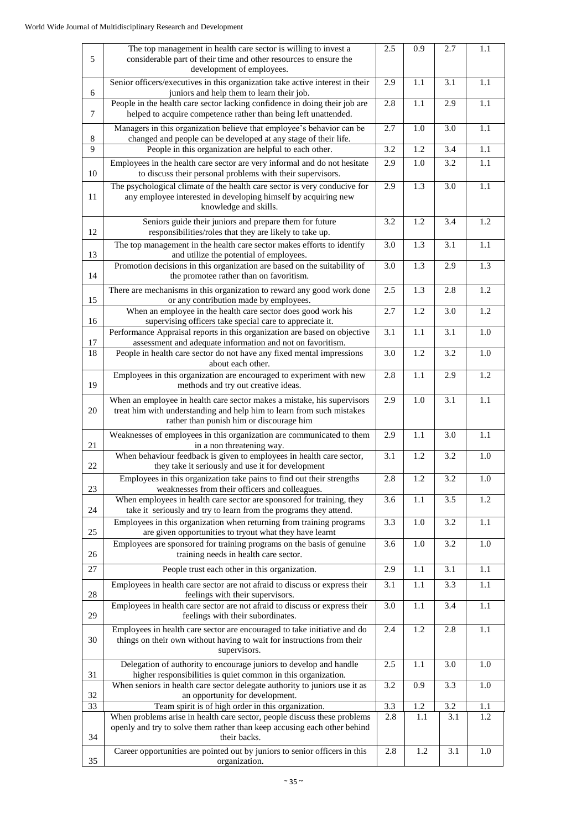|        | The top management in health care sector is willing to invest a                                                                                                                              | 2.5 | 0.9     | 2.7              | 1.1 |
|--------|----------------------------------------------------------------------------------------------------------------------------------------------------------------------------------------------|-----|---------|------------------|-----|
| 5      | considerable part of their time and other resources to ensure the<br>development of employees.                                                                                               |     |         |                  |     |
| 6      | Senior officers/executives in this organization take active interest in their<br>juniors and help them to learn their job.                                                                   | 2.9 | 1.1     | 3.1              | 1.1 |
| $\tau$ | People in the health care sector lacking confidence in doing their job are<br>helped to acquire competence rather than being left unattended.                                                | 2.8 | 1.1     | 2.9              | 1.1 |
| 8      | Managers in this organization believe that employee's behavior can be<br>changed and people can be developed at any stage of their life.                                                     | 2.7 | 1.0     | 3.0              | 1.1 |
| 9      | People in this organization are helpful to each other.                                                                                                                                       |     | 1.2     | 3.4              | 1.1 |
| 10     | Employees in the health care sector are very informal and do not hesitate<br>to discuss their personal problems with their supervisors.                                                      | 2.9 | 1.0     | 3.2              | 1.1 |
| 11     | The psychological climate of the health care sector is very conducive for<br>any employee interested in developing himself by acquiring new<br>knowledge and skills.                         | 2.9 | 1.3     | 3.0              | 1.1 |
| 12     | Seniors guide their juniors and prepare them for future<br>responsibilities/roles that they are likely to take up.                                                                           | 3.2 | 1.2     | 3.4              | 1.2 |
| 13     | The top management in the health care sector makes efforts to identify<br>and utilize the potential of employees.                                                                            | 3.0 | 1.3     | $\overline{3.1}$ | 1.1 |
| 14     | Promotion decisions in this organization are based on the suitability of<br>the promotee rather than on favoritism.                                                                          | 3.0 | 1.3     | 2.9              | 1.3 |
| 15     | There are mechanisms in this organization to reward any good work done<br>or any contribution made by employees.                                                                             | 2.5 | 1.3     | 2.8              | 1.2 |
| 16     | When an employee in the health care sector does good work his<br>supervising officers take special care to appreciate it.                                                                    | 2.7 | 1.2     | 3.0              | 1.2 |
| 17     | Performance Appraisal reports in this organization are based on objective<br>assessment and adequate information and not on favoritism.                                                      | 3.1 | 1.1     | 3.1              | 1.0 |
| 18     | People in health care sector do not have any fixed mental impressions<br>about each other.                                                                                                   | 3.0 | 1.2     | 3.2              | 1.0 |
| 19     | Employees in this organization are encouraged to experiment with new<br>methods and try out creative ideas.                                                                                  | 2.8 | 1.1     | 2.9              | 1.2 |
| 20     | When an employee in health care sector makes a mistake, his supervisors<br>treat him with understanding and help him to learn from such mistakes<br>rather than punish him or discourage him | 2.9 | 1.0     | 3.1              | 1.1 |
| 21     | Weaknesses of employees in this organization are communicated to them<br>in a non threatening way.                                                                                           | 2.9 | 1.1     | 3.0              | 1.1 |
| 22     | When behaviour reedback is given to employees in health care sector,<br>they take it seriously and use it for development                                                                    | 3.1 | 1.2     | 3.2              | 1.0 |
| 23     | Employees in this organization take pains to find out their strengths<br>weaknesses from their officers and colleagues.                                                                      | 2.8 | 1.2     | 3.2              | 1.0 |
| 24     | When employees in health care sector are sponsored for training, they<br>take it seriously and try to learn from the programs they attend.                                                   | 3.6 | 1.1     | 3.5              | 1.2 |
| 25     | Employees in this organization when returning from training programs<br>are given opportunities to tryout what they have learnt                                                              | 3.3 | 1.0     | 3.2              | 1.1 |
| 26     | Employees are sponsored for training programs on the basis of genuine<br>training needs in health care sector.                                                                               | 3.6 | 1.0     | 3.2              | 1.0 |
| 27     | People trust each other in this organization.                                                                                                                                                | 2.9 | 1.1     | 3.1              | 1.1 |
| 28     | Employees in health care sector are not afraid to discuss or express their<br>feelings with their supervisors.                                                                               | 3.1 | $1.1\,$ | 3.3              | 1.1 |
| 29     | Employees in health care sector are not afraid to discuss or express their<br>feelings with their subordinates.                                                                              | 3.0 | 1.1     | 3.4              | 1.1 |
| 30     | Employees in health care sector are encouraged to take initiative and do<br>things on their own without having to wait for instructions from their<br>supervisors.                           | 2.4 | 1.2     | 2.8              | 1.1 |
| 31     | Delegation of authority to encourage juniors to develop and handle<br>higher responsibilities is quiet common in this organization.                                                          | 2.5 | 1.1     | 3.0              | 1.0 |
| 32     | When seniors in health care sector delegate authority to juniors use it as<br>an opportunity for development.                                                                                | 3.2 | 0.9     | 3.3              | 1.0 |
| 33     | Team spirit is of high order in this organization.                                                                                                                                           | 3.3 | 1.2     | 3.2              | 1.1 |
| 34     | When problems arise in health care sector, people discuss these problems<br>openly and try to solve them rather than keep accusing each other behind<br>their backs.                         | 2.8 | 1.1     | 3.1              | 1.2 |
| 35     | Career opportunities are pointed out by juniors to senior officers in this<br>organization.                                                                                                  | 2.8 | 1.2     | 3.1              | 1.0 |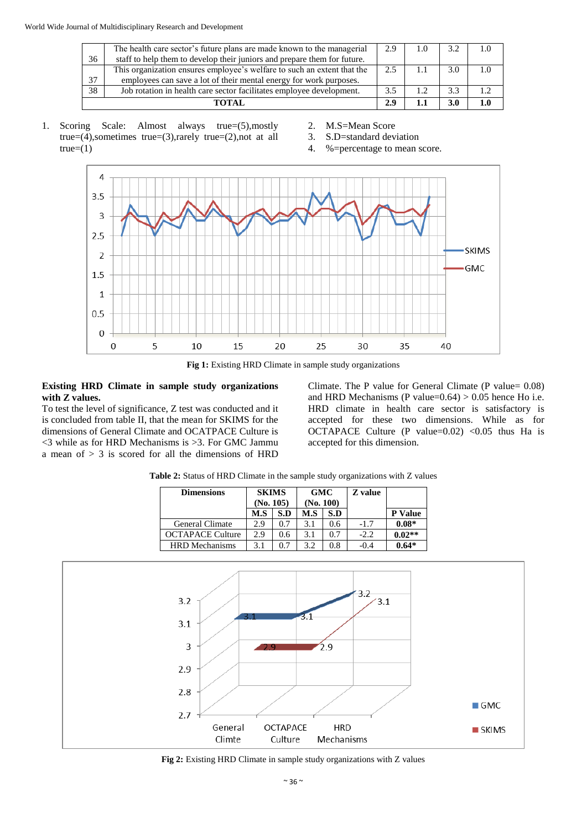|    | The health care sector's future plans are made known to the managerial   | 2.9 | 1.0 | 3.2 |  |
|----|--------------------------------------------------------------------------|-----|-----|-----|--|
| 36 | staff to help them to develop their juniors and prepare them for future. |     |     |     |  |
|    | This organization ensures employee's welfare to such an extent that the  | 2.5 |     | 3.0 |  |
| 37 | employees can save a lot of their mental energy for work purposes.       |     |     |     |  |
| 38 | Job rotation in health care sector facilitates employee development.     | 3.5 |     | 3.3 |  |
|    | ТОТАІ.                                                                   | 2.9 |     | 3.0 |  |

- 1. Scoring Scale: Almost always true=(5),mostly true=(4),sometimes true=(3),rarely true=(2),not at all  $true=(1)$
- 2. M.S=Mean Score
- 3. S.D=standard deviation
- 4. %=percentage to mean score.



Fig 1: Existing HRD Climate in sample study organizations

#### **Existing HRD Climate in sample study organizations with Z values.**

To test the level of significance, Z test was conducted and it is concluded from table II, that the mean for SKIMS for the dimensions of General Climate and OCATPACE Culture is  $\leq$ 3 while as for HRD Mechanisms is  $\geq$ 3. For GMC Jammu a mean of  $> 3$  is scored for all the dimensions of HRD

Climate. The P value for General Climate (P value= 0.08) and HRD Mechanisms (P value= $0.64$ ) >  $0.05$  hence Ho i.e. HRD climate in health care sector is satisfactory is accepted for these two dimensions. While as for OCTAPACE Culture (P value= $0.02$ ) < $0.05$  thus Ha is accepted for this dimension.

| <b>Dimensions</b>       |     | <b>GMC</b><br>(No. 100) |     | <b>SKIMS</b><br>(No. 105) |        |          | <b>Z</b> value |  |
|-------------------------|-----|-------------------------|-----|---------------------------|--------|----------|----------------|--|
|                         | M.S | S.D                     | M.S | S.D                       |        | P Value  |                |  |
| <b>General Climate</b>  | 2.9 | 0.7                     | 3.1 | 0.6                       | $-1.7$ | $0.08*$  |                |  |
| <b>OCTAPACE Culture</b> | 2.9 | 0.6                     | 3.1 | 0.7                       | $-2.2$ | $0.02**$ |                |  |
| <b>HRD</b> Mechanisms   | 3.1 | 0.7                     | 3.2 | $0.8\,$                   | -0.4   | $0.64*$  |                |  |

**Table 2:** Status of HRD Climate in the sample study organizations with Z values



**Fig 2:** Existing HRD Climate in sample study organizations with Z values